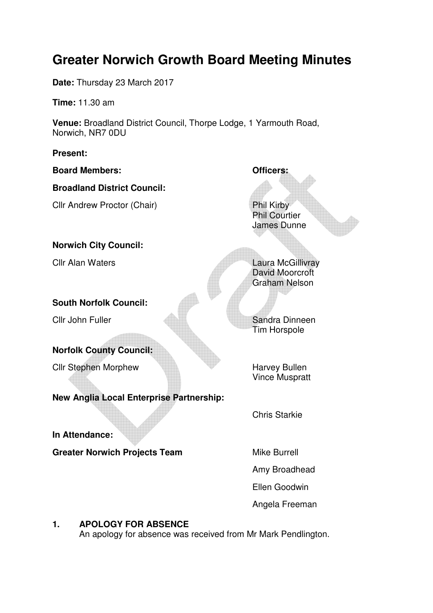# **Greater Norwich Growth Board Meeting Minutes**

**Date:** Thursday 23 March 2017

**Time:** 11.30 am

**Venue:** Broadland District Council, Thorpe Lodge, 1 Yarmouth Road, Norwich, NR7 0DU

**Present:** 

**Board Members: Officers: Broadland District Council:**  Cllr Andrew Proctor (Chair) Phil Kirby Phil Courtier James Dunne **Norwich City Council: Clir Alan Waters Laura McGillivray** David Moorcroft Graham Nelson **South Norfolk Council:**  Cllr John Fuller Sandra Dinneen Tim Horspole **Norfolk County Council: Clir Stephen Morphew Harvey Bullen** Vince Muspratt **New Anglia Local Enterprise Partnership:**  Chris Starkie **In Attendance: Greater Norwich Projects Team Mike Burrell** Amy Broadhead Ellen Goodwin Angela Freeman

# **1. APOLOGY FOR ABSENCE**

An apology for absence was received from Mr Mark Pendlington.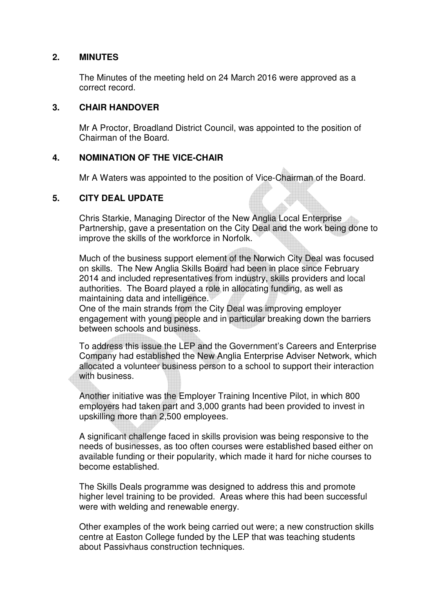#### **2. MINUTES**

The Minutes of the meeting held on 24 March 2016 were approved as a correct record.

#### **3. CHAIR HANDOVER**

Mr A Proctor, Broadland District Council, was appointed to the position of Chairman of the Board.

#### **4. NOMINATION OF THE VICE-CHAIR**

Mr A Waters was appointed to the position of Vice-Chairman of the Board.

## **5. CITY DEAL UPDATE**

Chris Starkie, Managing Director of the New Anglia Local Enterprise Partnership, gave a presentation on the City Deal and the work being done to improve the skills of the workforce in Norfolk.

Much of the business support element of the Norwich City Deal was focused on skills. The New Anglia Skills Board had been in place since February 2014 and included representatives from industry, skills providers and local authorities. The Board played a role in allocating funding, as well as maintaining data and intelligence.

One of the main strands from the City Deal was improving employer engagement with young people and in particular breaking down the barriers between schools and business.

To address this issue the LEP and the Government's Careers and Enterprise Company had established the New Anglia Enterprise Adviser Network, which allocated a volunteer business person to a school to support their interaction with business.

Another initiative was the Employer Training Incentive Pilot, in which 800 employers had taken part and 3,000 grants had been provided to invest in upskilling more than 2,500 employees.

A significant challenge faced in skills provision was being responsive to the needs of businesses, as too often courses were established based either on available funding or their popularity, which made it hard for niche courses to become established.

The Skills Deals programme was designed to address this and promote higher level training to be provided. Areas where this had been successful were with welding and renewable energy.

Other examples of the work being carried out were; a new construction skills centre at Easton College funded by the LEP that was teaching students about Passivhaus construction techniques.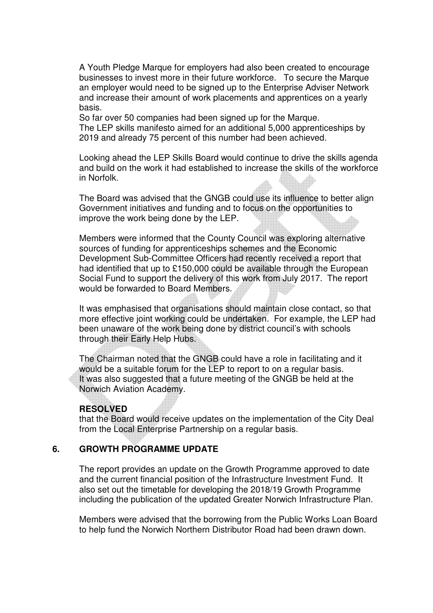A Youth Pledge Marque for employers had also been created to encourage businesses to invest more in their future workforce. To secure the Marque an employer would need to be signed up to the Enterprise Adviser Network and increase their amount of work placements and apprentices on a yearly basis.

So far over 50 companies had been signed up for the Marque.

The LEP skills manifesto aimed for an additional 5,000 apprenticeships by 2019 and already 75 percent of this number had been achieved.

Looking ahead the LEP Skills Board would continue to drive the skills agenda and build on the work it had established to increase the skills of the workforce in Norfolk.

The Board was advised that the GNGB could use its influence to better align Government initiatives and funding and to focus on the opportunities to improve the work being done by the LEP.

Members were informed that the County Council was exploring alternative sources of funding for apprenticeships schemes and the Economic Development Sub-Committee Officers had recently received a report that had identified that up to £150,000 could be available through the European Social Fund to support the delivery of this work from July 2017. The report would be forwarded to Board Members.

It was emphasised that organisations should maintain close contact, so that more effective joint working could be undertaken. For example, the LEP had been unaware of the work being done by district council's with schools through their Early Help Hubs.

The Chairman noted that the GNGB could have a role in facilitating and it would be a suitable forum for the LEP to report to on a regular basis. It was also suggested that a future meeting of the GNGB be held at the Norwich Aviation Academy.

#### **RESOLVED**

that the Board would receive updates on the implementation of the City Deal from the Local Enterprise Partnership on a regular basis.

#### **6. GROWTH PROGRAMME UPDATE**

The report provides an update on the Growth Programme approved to date and the current financial position of the Infrastructure Investment Fund. It also set out the timetable for developing the 2018/19 Growth Programme including the publication of the updated Greater Norwich Infrastructure Plan.

Members were advised that the borrowing from the Public Works Loan Board to help fund the Norwich Northern Distributor Road had been drawn down.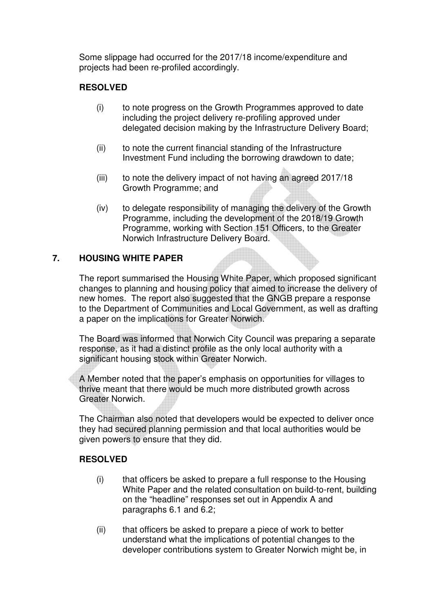Some slippage had occurred for the 2017/18 income/expenditure and projects had been re-profiled accordingly.

# **RESOLVED**

- (i) to note progress on the Growth Programmes approved to date including the project delivery re-profiling approved under delegated decision making by the Infrastructure Delivery Board;
- (ii) to note the current financial standing of the Infrastructure Investment Fund including the borrowing drawdown to date;
- (iii) to note the delivery impact of not having an agreed 2017/18 Growth Programme; and
- (iv) to delegate responsibility of managing the delivery of the Growth Programme, including the development of the 2018/19 Growth Programme, working with Section 151 Officers, to the Greater Norwich Infrastructure Delivery Board.

# **7. HOUSING WHITE PAPER**

The report summarised the Housing White Paper, which proposed significant changes to planning and housing policy that aimed to increase the delivery of new homes. The report also suggested that the GNGB prepare a response to the Department of Communities and Local Government, as well as drafting a paper on the implications for Greater Norwich.

The Board was informed that Norwich City Council was preparing a separate response, as it had a distinct profile as the only local authority with a significant housing stock within Greater Norwich.

A Member noted that the paper's emphasis on opportunities for villages to thrive meant that there would be much more distributed growth across Greater Norwich.

The Chairman also noted that developers would be expected to deliver once they had secured planning permission and that local authorities would be given powers to ensure that they did.

## **RESOLVED**

- (i) that officers be asked to prepare a full response to the Housing White Paper and the related consultation on build-to-rent, building on the "headline" responses set out in Appendix A and paragraphs 6.1 and 6.2;
- (ii) that officers be asked to prepare a piece of work to better understand what the implications of potential changes to the developer contributions system to Greater Norwich might be, in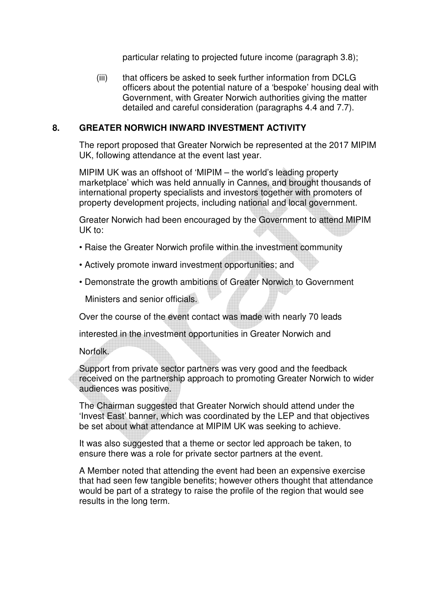particular relating to projected future income (paragraph 3.8);

(iii) that officers be asked to seek further information from DCLG officers about the potential nature of a 'bespoke' housing deal with Government, with Greater Norwich authorities giving the matter detailed and careful consideration (paragraphs 4.4 and 7.7).

## **8. GREATER NORWICH INWARD INVESTMENT ACTIVITY**

The report proposed that Greater Norwich be represented at the 2017 MIPIM UK, following attendance at the event last year.

MIPIM UK was an offshoot of 'MIPIM – the world's leading property marketplace' which was held annually in Cannes, and brought thousands of international property specialists and investors together with promoters of property development projects, including national and local government.

Greater Norwich had been encouraged by the Government to attend MIPIM UK to:

- Raise the Greater Norwich profile within the investment community
- Actively promote inward investment opportunities; and
- Demonstrate the growth ambitions of Greater Norwich to Government

Ministers and senior officials.

Over the course of the event contact was made with nearly 70 leads

interested in the investment opportunities in Greater Norwich and

Norfolk.

Support from private sector partners was very good and the feedback received on the partnership approach to promoting Greater Norwich to wider audiences was positive.

The Chairman suggested that Greater Norwich should attend under the 'Invest East' banner, which was coordinated by the LEP and that objectives be set about what attendance at MIPIM UK was seeking to achieve.

It was also suggested that a theme or sector led approach be taken, to ensure there was a role for private sector partners at the event.

A Member noted that attending the event had been an expensive exercise that had seen few tangible benefits; however others thought that attendance would be part of a strategy to raise the profile of the region that would see results in the long term.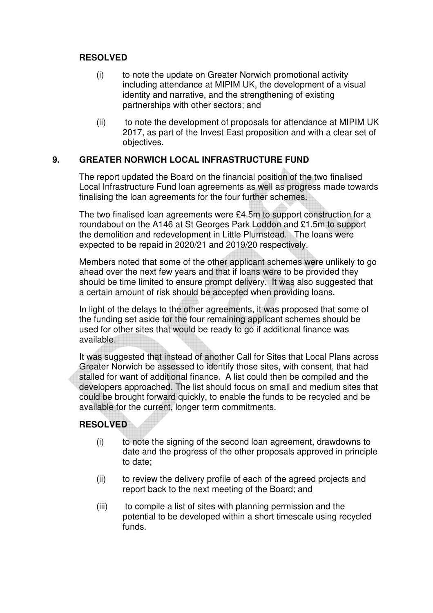## **RESOLVED**

- (i) to note the update on Greater Norwich promotional activity including attendance at MIPIM UK, the development of a visual identity and narrative, and the strengthening of existing partnerships with other sectors; and
- (ii) to note the development of proposals for attendance at MIPIM UK 2017, as part of the Invest East proposition and with a clear set of objectives.

## **9. GREATER NORWICH LOCAL INFRASTRUCTURE FUND**

The report updated the Board on the financial position of the two finalised Local Infrastructure Fund loan agreements as well as progress made towards finalising the loan agreements for the four further schemes.

The two finalised loan agreements were £4.5m to support construction for a roundabout on the A146 at St Georges Park Loddon and £1.5m to support the demolition and redevelopment in Little Plumstead. The loans were expected to be repaid in 2020/21 and 2019/20 respectively.

Members noted that some of the other applicant schemes were unlikely to go ahead over the next few years and that if loans were to be provided they should be time limited to ensure prompt delivery. It was also suggested that a certain amount of risk should be accepted when providing loans.

In light of the delays to the other agreements, it was proposed that some of the funding set aside for the four remaining applicant schemes should be used for other sites that would be ready to go if additional finance was available.

It was suggested that instead of another Call for Sites that Local Plans across Greater Norwich be assessed to identify those sites, with consent, that had stalled for want of additional finance. A list could then be compiled and the developers approached. The list should focus on small and medium sites that could be brought forward quickly, to enable the funds to be recycled and be available for the current, longer term commitments.

## **RESOLVED**

- (i) to note the signing of the second loan agreement, drawdowns to date and the progress of the other proposals approved in principle to date;
- (ii) to review the delivery profile of each of the agreed projects and report back to the next meeting of the Board; and
- (iii) to compile a list of sites with planning permission and the potential to be developed within a short timescale using recycled funds.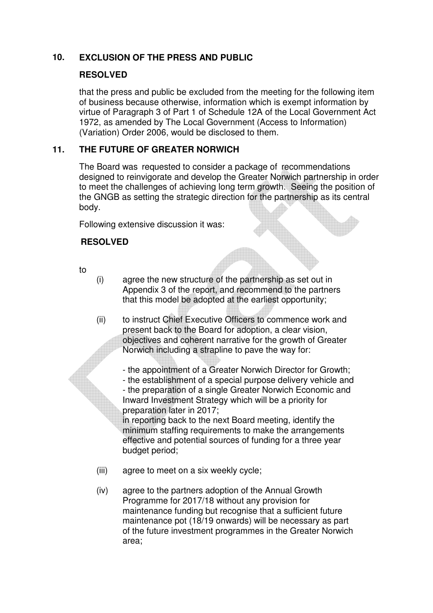# **10. EXCLUSION OF THE PRESS AND PUBLIC**

## **RESOLVED**

that the press and public be excluded from the meeting for the following item of business because otherwise, information which is exempt information by virtue of Paragraph 3 of Part 1 of Schedule 12A of the Local Government Act 1972, as amended by The Local Government (Access to Information) (Variation) Order 2006, would be disclosed to them.

## **11. THE FUTURE OF GREATER NORWICH**

The Board was requested to consider a package of recommendations designed to reinvigorate and develop the Greater Norwich partnership in order to meet the challenges of achieving long term growth. Seeing the position of the GNGB as setting the strategic direction for the partnership as its central body.

Following extensive discussion it was:

## **RESOLVED**

to

- (i) agree the new structure of the partnership as set out in Appendix 3 of the report, and recommend to the partners that this model be adopted at the earliest opportunity;
- (ii) to instruct Chief Executive Officers to commence work and present back to the Board for adoption, a clear vision, objectives and coherent narrative for the growth of Greater Norwich including a strapline to pave the way for:
	- the appointment of a Greater Norwich Director for Growth;
	- the establishment of a special purpose delivery vehicle and - the preparation of a single Greater Norwich Economic and Inward Investment Strategy which will be a priority for preparation later in 2017;

in reporting back to the next Board meeting, identify the minimum staffing requirements to make the arrangements effective and potential sources of funding for a three year budget period;

- (iii) agree to meet on a six weekly cycle;
- (iv) agree to the partners adoption of the Annual Growth Programme for 2017/18 without any provision for maintenance funding but recognise that a sufficient future maintenance pot (18/19 onwards) will be necessary as part of the future investment programmes in the Greater Norwich area;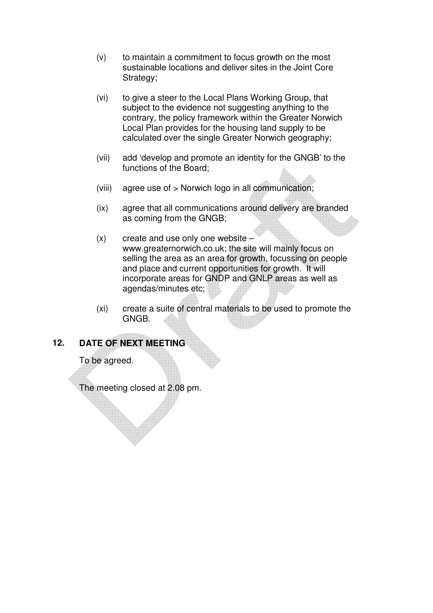- (v) to maintain a commitment to focus growth on the most sustainable locations and deliver sites in the Joint Core Strategy;
- (vi) to give a steer to the Local Plans Working Group, that subject to the evidence not suggesting anything to the contrary, the policy framework within the Greater Norwich Local Plan provides for the housing land supply to be calculated over the single Greater Norwich geography;
- (vii) add 'develop and promote an identity for the GNGB' to the functions of the Board;
- (viii) agree use of > Norwich logo in all communication;
- (ix) agree that all communications around delivery are branded as coming from the GNGB;
- $(x)$  create and use only one website www.greaternorwich.co.uk; the site will mainly focus on selling the area as an area for growth, focussing on people and place and current opportunities for growth. It will incorporate areas for GNDP and GNLP areas as well as agendas/minutes etc;
- (xi) create a suite of central materials to be used to promote the GNGB.

## **12. DATE OF NEXT MEETING**

To be agreed.

The meeting closed at 2.08 pm.